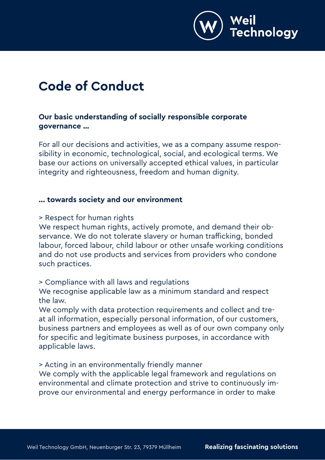

# **Code of Conduct**

# **Our basic understanding of socially responsible corporate governance …**

For all our decisions and activities, we as a company assume responsibility in economic, technological, social, and ecological terms. We base our actions on universally accepted ethical values, in particular integrity and righteousness, freedom and human dignity.

#### **... towards society and our environment**

> Respect for human rights

We respect human rights, actively promote, and demand their observance. We do not tolerate slavery or human trafficking, bonded labour, forced labour, child labour or other unsafe working conditions and do not use products and services from providers who condone such practices.

> Compliance with all laws and regulations

We recognise applicable law as a minimum standard and respect the law.

We comply with data protection requirements and collect and treat all information, especially personal information, of our customers, business partners and employees as well as of our own company only for specific and legitimate business purposes, in accordance with applicable laws.

> Acting in an environmentally friendly manner

We comply with the applicable legal framework and regulations on environmental and climate protection and strive to continuously improve our environmental and energy performance in order to make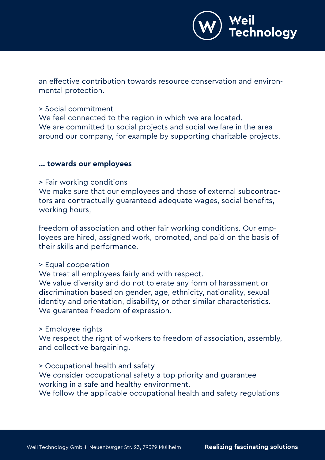

an effective contribution towards resource conservation and environmental protection.

#### > Social commitment

We feel connected to the region in which we are located. We are committed to social projects and social welfare in the area around our company, for example by supporting charitable projects.

#### **... towards our employees**

#### > Fair working conditions

We make sure that our employees and those of external subcontractors are contractually guaranteed adequate wages, social benefits, working hours,

freedom of association and other fair working conditions. Our employees are hired, assigned work, promoted, and paid on the basis of their skills and performance.

## > Equal cooperation

We treat all employees fairly and with respect. We value diversity and do not tolerate any form of harassment or discrimination based on gender, age, ethnicity, nationality, sexual identity and orientation, disability, or other similar characteristics. We guarantee freedom of expression.

## > Employee rights

We respect the right of workers to freedom of association, assembly, and collective bargaining.

#### > Occupational health and safety

We consider occupational safety a top priority and guarantee working in a safe and healthy environment.

We follow the applicable occupational health and safety regulations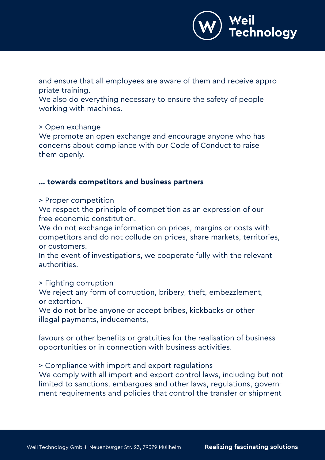

and ensure that all employees are aware of them and receive appropriate training.

We also do everything necessary to ensure the safety of people working with machines.

> Open exchange

We promote an open exchange and encourage anyone who has concerns about compliance with our Code of Conduct to raise them openly.

#### **... towards competitors and business partners**

> Proper competition

We respect the principle of competition as an expression of our free economic constitution.

We do not exchange information on prices, margins or costs with competitors and do not collude on prices, share markets, territories, or customers.

In the event of investigations, we cooperate fully with the relevant authorities.

> Fighting corruption

We reject any form of corruption, bribery, theft, embezzlement, or extortion.

We do not bribe anyone or accept bribes, kickbacks or other illegal payments, inducements,

favours or other benefits or gratuities for the realisation of business opportunities or in connection with business activities.

> Compliance with import and export regulations

We comply with all import and export control laws, including but not limited to sanctions, embargoes and other laws, regulations, government requirements and policies that control the transfer or shipment